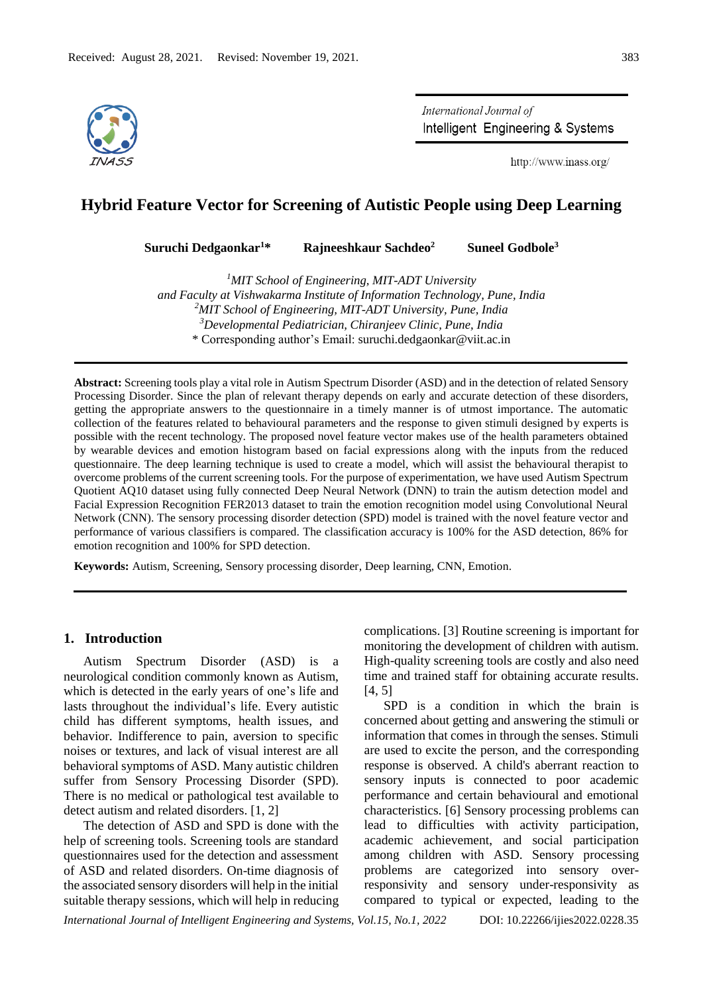

International Journal of Intelligent Engineering & Systems

http://www.inass.org/

# **Hybrid Feature Vector for Screening of Autistic People using Deep Learning**

**Suruchi Dedgaonkar<sup>1</sup>\* Rajneeshkaur Sachdeo<sup>2</sup> Suneel Godbole<sup>3</sup>**

*<sup>1</sup>MIT School of Engineering, MIT-ADT University and Faculty at Vishwakarma Institute of Information Technology, Pune, India <sup>2</sup>MIT School of Engineering, MIT-ADT University, Pune, India <sup>3</sup>Developmental Pediatrician, Chiranjeev Clinic, Pune, India* \* Corresponding author's Email: suruchi.dedgaonkar@viit.ac.in

**Abstract:** Screening tools play a vital role in Autism Spectrum Disorder (ASD) and in the detection of related Sensory Processing Disorder. Since the plan of relevant therapy depends on early and accurate detection of these disorders, getting the appropriate answers to the questionnaire in a timely manner is of utmost importance. The automatic collection of the features related to behavioural parameters and the response to given stimuli designed by experts is possible with the recent technology. The proposed novel feature vector makes use of the health parameters obtained by wearable devices and emotion histogram based on facial expressions along with the inputs from the reduced questionnaire. The deep learning technique is used to create a model, which will assist the behavioural therapist to overcome problems of the current screening tools. For the purpose of experimentation, we have used Autism Spectrum Quotient AQ10 dataset using fully connected Deep Neural Network (DNN) to train the autism detection model and Facial Expression Recognition FER2013 dataset to train the emotion recognition model using Convolutional Neural Network (CNN). The sensory processing disorder detection (SPD) model is trained with the novel feature vector and performance of various classifiers is compared. The classification accuracy is 100% for the ASD detection, 86% for emotion recognition and 100% for SPD detection.

**Keywords:** Autism, Screening, Sensory processing disorder, Deep learning, CNN, Emotion.

#### **1. Introduction**

Autism Spectrum Disorder (ASD) is a neurological condition commonly known as Autism, which is detected in the early years of one's life and lasts throughout the individual's life. Every autistic child has different symptoms, health issues, and behavior. Indifference to pain, aversion to specific noises or textures, and lack of visual interest are all behavioral symptoms of ASD. Many autistic children suffer from Sensory Processing Disorder (SPD). There is no medical or pathological test available to detect autism and related disorders. [1, 2]

The detection of ASD and SPD is done with the help of screening tools. Screening tools are standard questionnaires used for the detection and assessment of ASD and related disorders. On-time diagnosis of the associated sensory disorders will help in the initial suitable therapy sessions, which will help in reducing

complications. [3] Routine screening is important for monitoring the development of children with autism. High-quality screening tools are costly and also need time and trained staff for obtaining accurate results. [4, 5]

SPD is a condition in which the brain is concerned about getting and answering the stimuli or information that comes in through the senses. Stimuli are used to excite the person, and the corresponding response is observed. A child's aberrant reaction to sensory inputs is connected to poor academic performance and certain behavioural and emotional characteristics. [6] Sensory processing problems can lead to difficulties with activity participation, academic achievement, and social participation among children with ASD. Sensory processing problems are categorized into sensory overresponsivity and sensory under-responsivity as compared to typical or expected, leading to the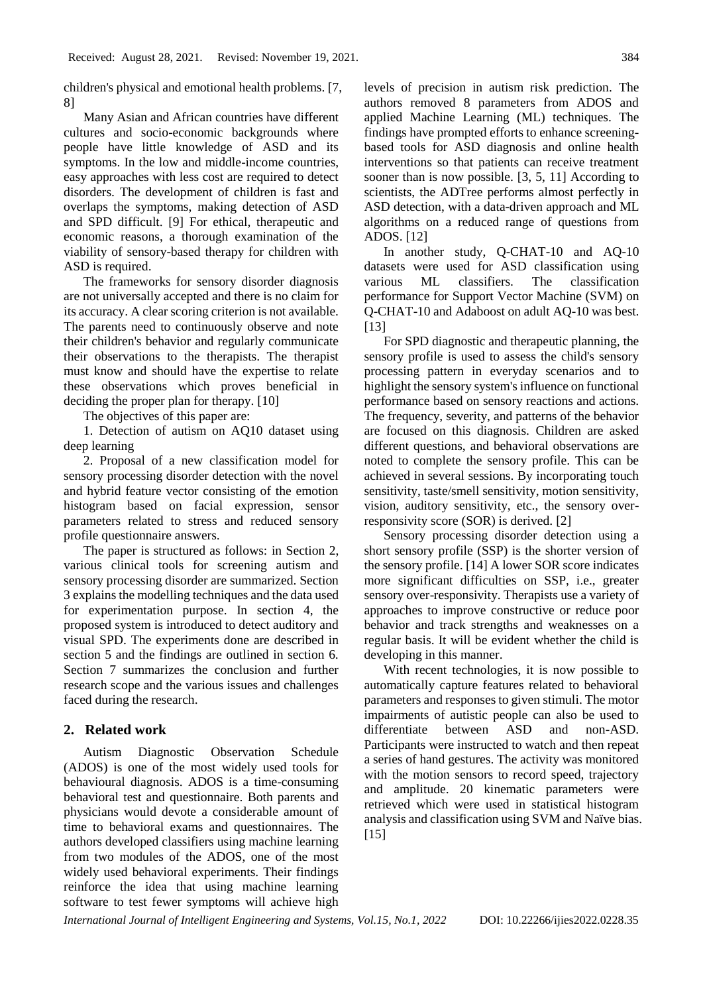children's physical and emotional health problems. [7, 8]

Many Asian and African countries have different cultures and socio-economic backgrounds where people have little knowledge of ASD and its symptoms. In the low and middle-income countries, easy approaches with less cost are required to detect disorders. The development of children is fast and overlaps the symptoms, making detection of ASD and SPD difficult. [9] For ethical, therapeutic and economic reasons, a thorough examination of the viability of sensory-based therapy for children with ASD is required.

The frameworks for sensory disorder diagnosis are not universally accepted and there is no claim for its accuracy. A clear scoring criterion is not available. The parents need to continuously observe and note their children's behavior and regularly communicate their observations to the therapists. The therapist must know and should have the expertise to relate these observations which proves beneficial in deciding the proper plan for therapy. [10]

The objectives of this paper are:

1. Detection of autism on AQ10 dataset using deep learning

2. Proposal of a new classification model for sensory processing disorder detection with the novel and hybrid feature vector consisting of the emotion histogram based on facial expression, sensor parameters related to stress and reduced sensory profile questionnaire answers.

The paper is structured as follows: in Section 2, various clinical tools for screening autism and sensory processing disorder are summarized. Section 3 explains the modelling techniques and the data used for experimentation purpose. In section 4, the proposed system is introduced to detect auditory and visual SPD. The experiments done are described in section 5 and the findings are outlined in section 6. Section 7 summarizes the conclusion and further research scope and the various issues and challenges faced during the research.

# **2. Related work**

Autism Diagnostic Observation Schedule (ADOS) is one of the most widely used tools for behavioural diagnosis. ADOS is a time-consuming behavioral test and questionnaire. Both parents and physicians would devote a considerable amount of time to behavioral exams and questionnaires. The authors developed classifiers using machine learning from two modules of the ADOS, one of the most widely used behavioral experiments. Their findings reinforce the idea that using machine learning software to test fewer symptoms will achieve high

levels of precision in autism risk prediction. The authors removed 8 parameters from ADOS and applied Machine Learning (ML) techniques. The findings have prompted efforts to enhance screeningbased tools for ASD diagnosis and online health interventions so that patients can receive treatment sooner than is now possible. [3, 5, 11] According to scientists, the ADTree performs almost perfectly in ASD detection, with a data-driven approach and ML algorithms on a reduced range of questions from ADOS. [12]

In another study, Q-CHAT-10 and AQ-10 datasets were used for ASD classification using various ML classifiers. The classification performance for Support Vector Machine (SVM) on Q-CHAT-10 and Adaboost on adult AQ-10 was best. [13]

For SPD diagnostic and therapeutic planning, the sensory profile is used to assess the child's sensory processing pattern in everyday scenarios and to highlight the sensory system's influence on functional performance based on sensory reactions and actions. The frequency, severity, and patterns of the behavior are focused on this diagnosis. Children are asked different questions, and behavioral observations are noted to complete the sensory profile. This can be achieved in several sessions. By incorporating touch sensitivity, taste/smell sensitivity, motion sensitivity, vision, auditory sensitivity, etc., the sensory overresponsivity score (SOR) is derived. [2]

Sensory processing disorder detection using a short sensory profile (SSP) is the shorter version of the sensory profile. [14] A lower SOR score indicates more significant difficulties on SSP, i.e., greater sensory over-responsivity. Therapists use a variety of approaches to improve constructive or reduce poor behavior and track strengths and weaknesses on a regular basis. It will be evident whether the child is developing in this manner.

With recent technologies, it is now possible to automatically capture features related to behavioral parameters and responses to given stimuli. The motor impairments of autistic people can also be used to differentiate between ASD and non-ASD. Participants were instructed to watch and then repeat a series of hand gestures. The activity was monitored with the motion sensors to record speed, trajectory and amplitude. 20 kinematic parameters were retrieved which were used in statistical histogram analysis and classification using SVM and Naïve bias. [15]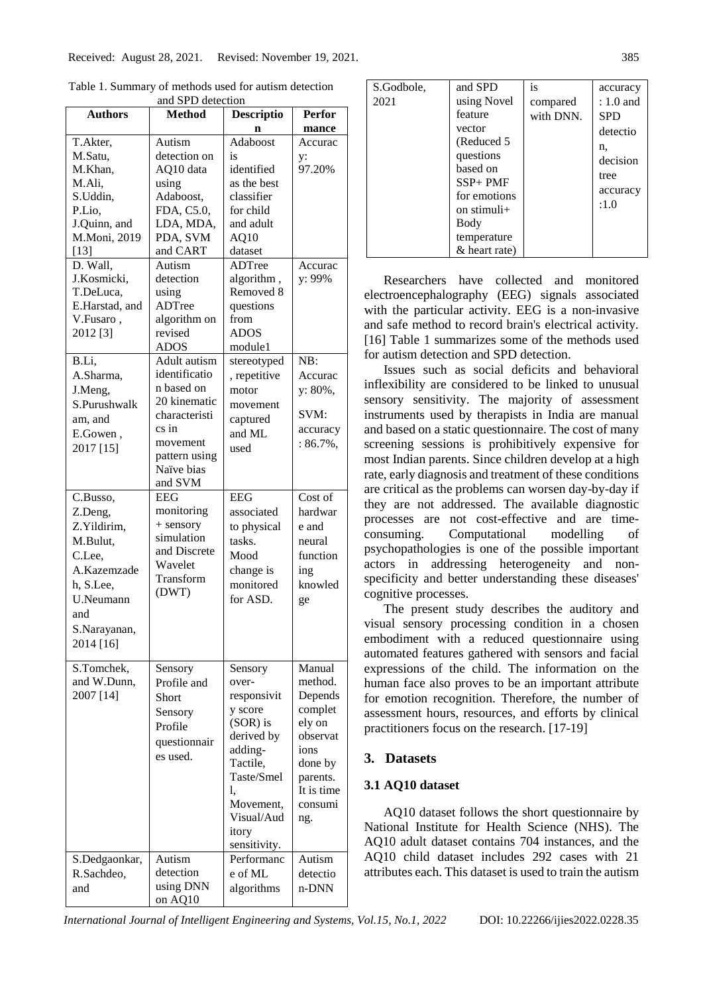|                | and SPD detection |                   |               |
|----------------|-------------------|-------------------|---------------|
| <b>Authors</b> | <b>Method</b>     | <b>Descriptio</b> | <b>Perfor</b> |
|                |                   | n                 | mance         |
| T.Akter,       | Autism            | Adaboost          | Accurac       |
| M.Satu,        | detection on      | is                | y:            |
| M.Khan,        | AQ10 data         | identified        | 97.20%        |
| M.Ali,         | using             | as the best       |               |
| S.Uddin,       | Adaboost,         | classifier        |               |
| P.Lio,         | FDA, C5.0,        | for child         |               |
| J.Quinn, and   | LDA, MDA,         | and adult         |               |
| M.Moni, 2019   | PDA, SVM          | AQ10              |               |
| $[13]$         | and CART          | dataset           |               |
| D. Wall.       | Autism            | ADTree            | Accurac       |
| J.Kosmicki,    | detection         | algorithm,        | y: 99%        |
| T.DeLuca,      | using             | Removed 8         |               |
| E.Harstad, and | ADTree            | questions         |               |
| V.Fusaro,      | algorithm on      | from              |               |
| 2012 [3]       | revised           | <b>ADOS</b>       |               |
|                | <b>ADOS</b>       | module1           |               |
| B.Li,          | Adult autism      | stereotyped       | NB:           |
| A.Sharma,      | identificatio     | , repetitive      | Accurac       |
| J.Meng,        | n based on        | motor             | y: 80%,       |
| S.Purushwalk   | 20 kinematic      | movement          |               |
| am, and        | characteristi     | captured          | SVM:          |
| E.Gowen,       | cs in             | and ML            | accuracy      |
| 2017 [15]      | movement          | used              | $: 86.7\%$ ,  |
|                | pattern using     |                   |               |
|                | Naïve bias        |                   |               |
|                | and SVM           |                   |               |
| C.Busso,       | <b>EEG</b>        | <b>EEG</b>        | Cost of       |
| Z.Deng,        | monitoring        | associated        | hardwar       |
| Z.Yildirim,    | + sensory         | to physical       | e and         |
| M.Bulut,       | simulation        | tasks.            | neural        |
| C.Lee,         | and Discrete      | Mood              | function      |
|                | Wavelet           |                   |               |
| A.Kazemzade    | Transform         | change is         | ing           |
| h, S.Lee,      | (DWT)             | monitored         | knowled       |
| U.Neumann      |                   | for ASD.          | ge            |
| and            |                   |                   |               |
| S.Narayanan,   |                   |                   |               |
| 2014 [16]      |                   |                   |               |
|                |                   |                   |               |
| S.Tomchek,     | Sensory           | Sensory           | Manual        |
| and W.Dunn,    | Profile and       | over-             | method.       |
| 2007 [14]      | Short             | responsivit       | Depends       |
|                | Sensory           | y score           | complet       |
|                | Profile           | (SOR) is          | ely on        |
|                | questionnair      | derived by        | observat      |
|                | es used.          | adding-           | ions          |
|                |                   | Tactile,          | done by       |
|                |                   | Taste/Smel        | parents.      |
|                |                   | 1.                | It is time    |
|                |                   | Movement,         | consumi       |
|                |                   | Visual/Aud        | ng.           |
|                |                   | itory             |               |
|                |                   | sensitivity.      |               |
| S.Dedgaonkar,  | Autism            | Performanc        | Autism        |
| R.Sachdeo,     | detection         | e of ML           | detectio      |
| and            | using DNN         | algorithms        | n-DNN         |
|                | on AQ10           |                   |               |

Table 1. Summary of methods used for autism detection and SPD detection

| S.Godbole,<br>2021 | and SPD<br>using Novel<br>feature<br>vector<br>(Reduced 5)<br>questions<br>based on<br>$SSP+PMF$<br>for emotions<br>on stimuli $+$<br>Body<br>temperature | is<br>compared<br>with DNN. | accuracy<br>$: 1.0$ and<br><b>SPD</b><br>detectio<br>n,<br>decision<br>tree<br>accuracy<br>:1.0 |
|--------------------|-----------------------------------------------------------------------------------------------------------------------------------------------------------|-----------------------------|-------------------------------------------------------------------------------------------------|
|                    | & heart rate)                                                                                                                                             |                             |                                                                                                 |

Researchers have collected and monitored electroencephalography (EEG) signals associated with the particular activity. EEG is a non-invasive and safe method to record brain's electrical activity. [16] Table 1 summarizes some of the methods used for autism detection and SPD detection.

Issues such as social deficits and behavioral inflexibility are considered to be linked to unusual sensory sensitivity. The majority of assessment instruments used by therapists in India are manual and based on a static questionnaire. The cost of many screening sessions is prohibitively expensive for most Indian parents. Since children develop at a high rate, early diagnosis and treatment of these conditions are critical as the problems can worsen day-by-day if they are not addressed. The available diagnostic processes are not cost-effective and are timeconsuming. Computational modelling of psychopathologies is one of the possible important actors in addressing heterogeneity and nonspecificity and better understanding these diseases' cognitive processes.

The present study describes the auditory and visual sensory processing condition in a chosen embodiment with a reduced questionnaire using automated features gathered with sensors and facial expressions of the child. The information on the human face also proves to be an important attribute for emotion recognition. Therefore, the number of assessment hours, resources, and efforts by clinical practitioners focus on the research. [17-19]

# **3. Datasets**

# **3.1 AQ10 dataset**

AQ10 dataset follows the short questionnaire by National Institute for Health Science (NHS). The AQ10 adult dataset contains 704 instances, and the AQ10 child dataset includes 292 cases with 21 attributes each. This dataset is used to train the autism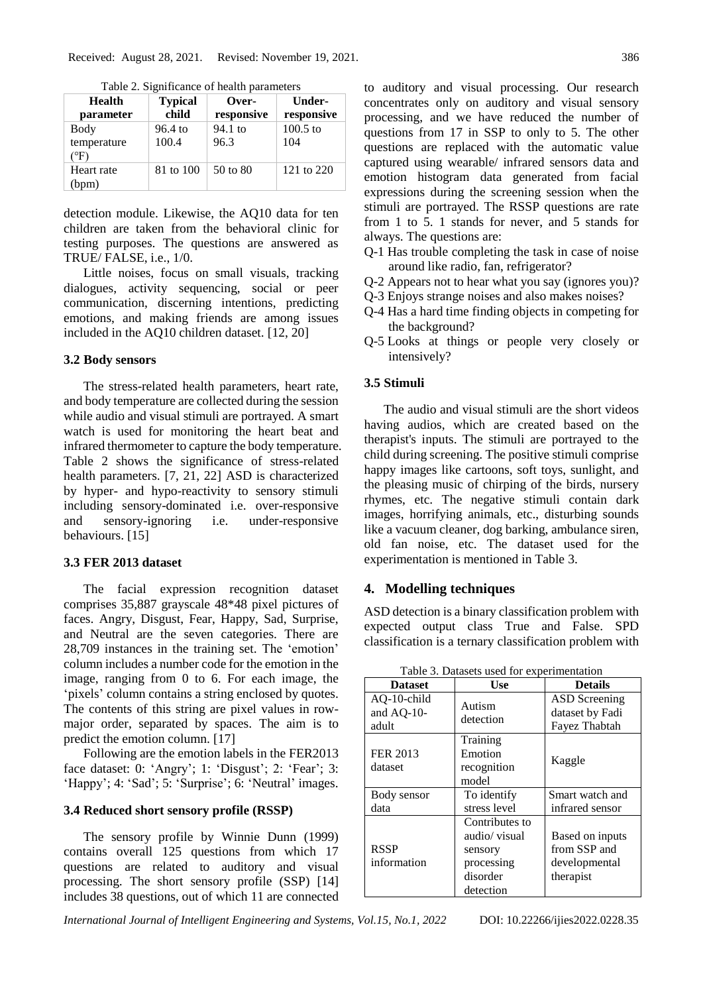| <b>Health</b> | <b>Typical</b> | Over-      | Under-     |
|---------------|----------------|------------|------------|
| parameter     | child          | responsive | responsive |
| Body          | 96.4 to        | 94.1 to    | $100.5$ to |
| temperature   | 100.4          | 96.3       | 104        |
| (°F)          |                |            |            |
| Heart rate    | 81 to 100      | 50 to 80   | 121 to 220 |
| (bpm)         |                |            |            |

Table 2. Significance of health parameters

detection module. Likewise, the AQ10 data for ten children are taken from the behavioral clinic for testing purposes. The questions are answered as TRUE/ FALSE, i.e., 1/0.

Little noises, focus on small visuals, tracking dialogues, activity sequencing, social or peer communication, discerning intentions, predicting emotions, and making friends are among issues included in the AQ10 children dataset. [12, 20]

## **3.2 Body sensors**

The stress-related health parameters, heart rate, and body temperature are collected during the session while audio and visual stimuli are portrayed. A smart watch is used for monitoring the heart beat and infrared thermometer to capture the body temperature. Table 2 shows the significance of stress-related health parameters. [7, 21, 22] ASD is characterized by hyper- and hypo-reactivity to sensory stimuli including sensory-dominated i.e. over-responsive and sensory-ignoring i.e. under-responsive behaviours. [15]

# **3.3 FER 2013 dataset**

The facial expression recognition dataset comprises 35,887 grayscale 48\*48 pixel pictures of faces. Angry, Disgust, Fear, Happy, Sad, Surprise, and Neutral are the seven categories. There are 28,709 instances in the training set. The 'emotion' column includes a number code for the emotion in the image, ranging from 0 to 6. For each image, the 'pixels' column contains a string enclosed by quotes. The contents of this string are pixel values in rowmajor order, separated by spaces. The aim is to predict the emotion column. [17]

Following are the emotion labels in the FER2013 face dataset: 0: 'Angry'; 1: 'Disgust'; 2: 'Fear'; 3: 'Happy'; 4: 'Sad'; 5: 'Surprise'; 6: 'Neutral' images.

## **3.4 Reduced short sensory profile (RSSP)**

The sensory profile by Winnie Dunn (1999) contains overall 125 questions from which 17 questions are related to auditory and visual processing. The short sensory profile (SSP) [14] includes 38 questions, out of which 11 are connected to auditory and visual processing. Our research concentrates only on auditory and visual sensory processing, and we have reduced the number of questions from 17 in SSP to only to 5. The other questions are replaced with the automatic value captured using wearable/ infrared sensors data and emotion histogram data generated from facial expressions during the screening session when the stimuli are portrayed. The RSSP questions are rate from 1 to 5. 1 stands for never, and 5 stands for always. The questions are:

- Q-1 Has trouble completing the task in case of noise around like radio, fan, refrigerator?
- Q-2 Appears not to hear what you say (ignores you)?
- Q-3 Enjoys strange noises and also makes noises?
- Q-4 Has a hard time finding objects in competing for the background?
- Q-5 Looks at things or people very closely or intensively?

# **3.5 Stimuli**

The audio and visual stimuli are the short videos having audios, which are created based on the therapist's inputs. The stimuli are portrayed to the child during screening. The positive stimuli comprise happy images like cartoons, soft toys, sunlight, and the pleasing music of chirping of the birds, nursery rhymes, etc. The negative stimuli contain dark images, horrifying animals, etc., disturbing sounds like a vacuum cleaner, dog barking, ambulance siren, old fan noise, etc. The dataset used for the experimentation is mentioned in Table 3.

## **4. Modelling techniques**

ASD detection is a binary classification problem with expected output class True and False. SPD classification is a ternary classification problem with

| <b>Dataset</b> | Use            | <b>Details</b>       |
|----------------|----------------|----------------------|
| $AQ-10$ -child | Autism         | <b>ASD</b> Screening |
| and AQ-10-     | detection      | dataset by Fadi      |
| adult          |                | Fayez Thabtah        |
|                | Training       |                      |
| FER 2013       | Emotion        |                      |
| dataset        | recognition    | Kaggle               |
|                | model          |                      |
| Body sensor    | To identify    | Smart watch and      |
| data           | stress level   | infrared sensor      |
|                | Contributes to |                      |
|                | audio/ visual  | Based on inputs      |
| <b>RSSP</b>    | sensory        | from SSP and         |
| information    | processing     | developmental        |
|                | disorder       | therapist            |
|                | detection      |                      |

Table 3. Datasets used for experimentation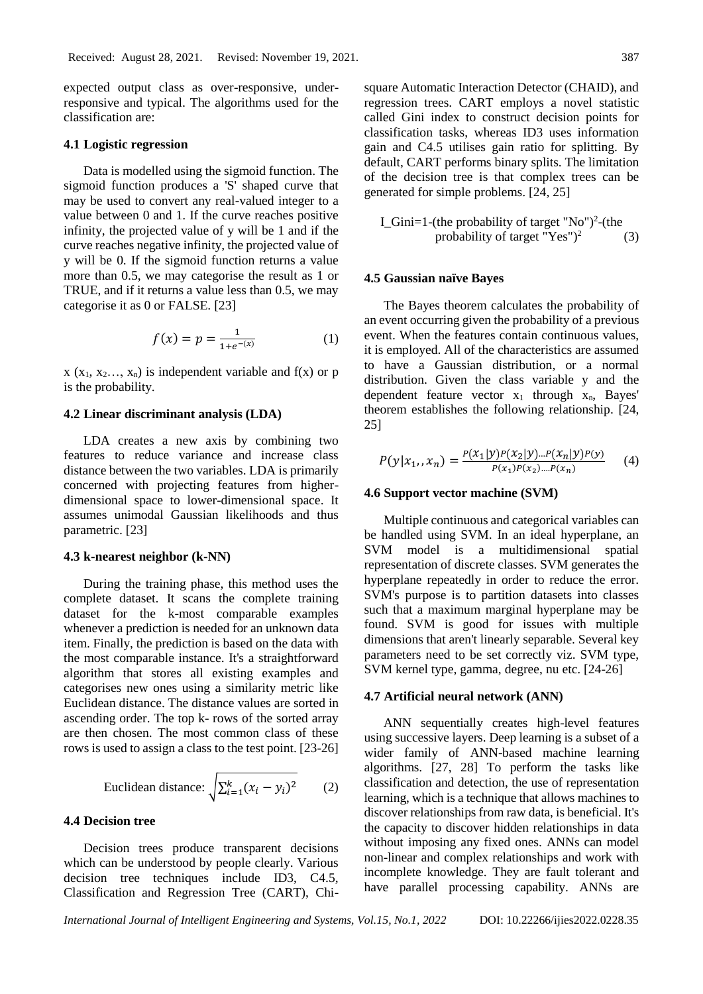expected output class as over-responsive, underresponsive and typical. The algorithms used for the classification are:

#### **4.1 Logistic regression**

Data is modelled using the sigmoid function. The sigmoid function produces a 'S' shaped curve that may be used to convert any real-valued integer to a value between 0 and 1. If the curve reaches positive infinity, the projected value of y will be 1 and if the curve reaches negative infinity, the projected value of y will be 0. If the sigmoid function returns a value more than 0.5, we may categorise the result as 1 or TRUE, and if it returns a value less than 0.5, we may categorise it as 0 or FALSE. [23]

$$
f(x) = p = \frac{1}{1 + e^{-\left(x\right)}}\tag{1}
$$

 $x (x_1, x_2, \ldots, x_n)$  is independent variable and  $f(x)$  or p is the probability.

#### **4.2 Linear discriminant analysis (LDA)**

LDA creates a new axis by combining two features to reduce variance and increase class distance between the two variables. LDA is primarily concerned with projecting features from higherdimensional space to lower-dimensional space. It assumes unimodal Gaussian likelihoods and thus parametric. [23]

### **4.3 k-nearest neighbor (k-NN)**

During the training phase, this method uses the complete dataset. It scans the complete training dataset for the k-most comparable examples whenever a prediction is needed for an unknown data item. Finally, the prediction is based on the data with the most comparable instance. It's a straightforward algorithm that stores all existing examples and categorises new ones using a similarity metric like Euclidean distance. The distance values are sorted in ascending order. The top k- rows of the sorted array are then chosen. The most common class of these rows is used to assign a class to the test point. [23-26]

Euclidean distance: 
$$
\sqrt{\sum_{i=1}^{k} (x_i - y_i)^2}
$$
 (2)

## **4.4 Decision tree**

Decision trees produce transparent decisions which can be understood by people clearly. Various decision tree techniques include ID3, C4.5, Classification and Regression Tree (CART), Chi-

$$
I_{\text{1}}\text{Gini} = 1-(\text{the probability of target "No")}^2-(\text{the probability of target "Yes")}^2\tag{3}
$$

## **4.5 Gaussian naïve Bayes**

The Bayes theorem calculates the probability of an event occurring given the probability of a previous event. When the features contain continuous values, it is employed. All of the characteristics are assumed to have a Gaussian distribution, or a normal distribution. Given the class variable y and the dependent feature vector  $x_1$  through  $x_n$ , Bayes' theorem establishes the following relationship. [24, 25]

$$
P(y|x_1, x_n) = \frac{P(x_1|y)P(x_2|y)...P(x_n|y)P(y)}{P(x_1)P(x_2)...P(x_n)}
$$
(4)

#### **4.6 Support vector machine (SVM)**

Multiple continuous and categorical variables can be handled using SVM. In an ideal hyperplane, an SVM model is a multidimensional spatial representation of discrete classes. SVM generates the hyperplane repeatedly in order to reduce the error. SVM's purpose is to partition datasets into classes such that a maximum marginal hyperplane may be found. SVM is good for issues with multiple dimensions that aren't linearly separable. Several key parameters need to be set correctly viz. SVM type, SVM kernel type, gamma, degree, nu etc. [24-26]

#### **4.7 Artificial neural network (ANN)**

ANN sequentially creates high-level features using successive layers. Deep learning is a subset of a wider family of ANN-based machine learning algorithms. [27, 28] To perform the tasks like classification and detection, the use of representation learning, which is a technique that allows machines to discover relationships from raw data, is beneficial. It's the capacity to discover hidden relationships in data without imposing any fixed ones. ANNs can model non-linear and complex relationships and work with incomplete knowledge. They are fault tolerant and have parallel processing capability. ANNs are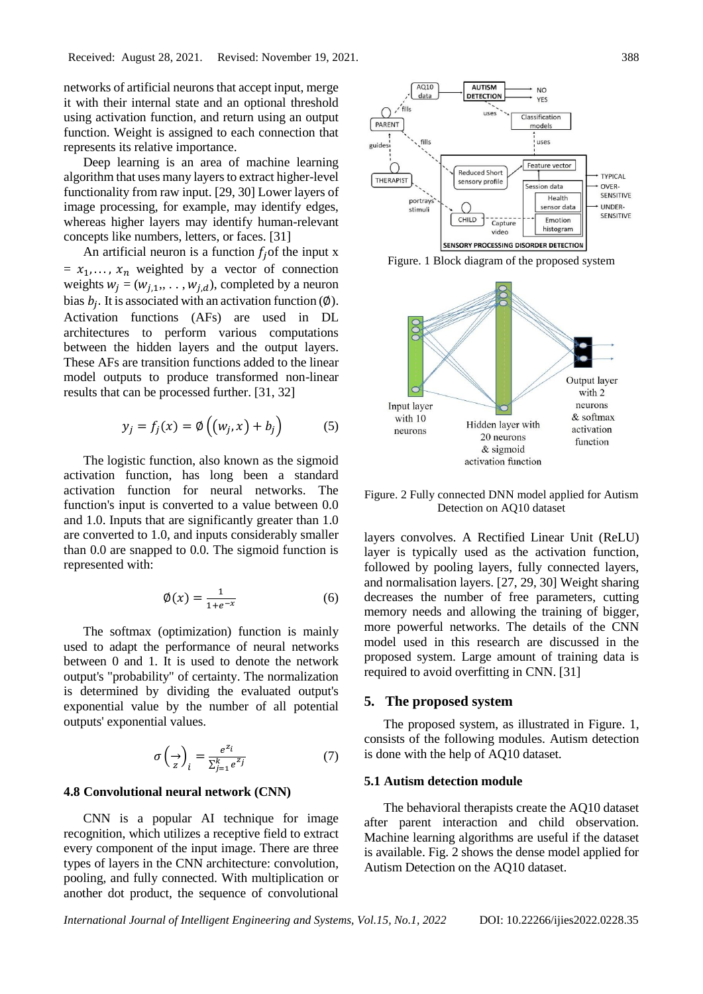networks of artificial neurons that accept input, merge it with their internal state and an optional threshold using activation function, and return using an output function. Weight is assigned to each connection that represents its relative importance.

Deep learning is an area of machine learning algorithm that uses many layers to extract higher-level functionality from raw input. [29, 30] Lower layers of image processing, for example, may identify edges, whereas higher layers may identify human-relevant concepts like numbers, letters, or faces. [31]

An artificial neuron is a function  $f_i$  of the input x  $= x_1, \ldots, x_n$  weighted by a vector of connection weights  $w_j = (w_{j,1}, \ldots, w_{j,d})$ , completed by a neuron bias  $b_j$ . It is associated with an activation function ( $\emptyset$ ). Activation functions (AFs) are used in DL architectures to perform various computations between the hidden layers and the output layers. These AFs are transition functions added to the linear model outputs to produce transformed non-linear results that can be processed further. [31, 32]

$$
y_j = f_j(x) = \emptyset \left( (w_j, x) + b_j \right) \tag{5}
$$

The logistic function, also known as the sigmoid activation function, has long been a standard activation function for neural networks. The function's input is converted to a value between 0.0 and 1.0. Inputs that are significantly greater than 1.0 are converted to 1.0, and inputs considerably smaller than 0.0 are snapped to 0.0. The sigmoid function is represented with:

$$
\emptyset(x) = \frac{1}{1 + e^{-x}}\tag{6}
$$

The softmax (optimization) function is mainly used to adapt the performance of neural networks between 0 and 1. It is used to denote the network output's "probability" of certainty. The normalization is determined by dividing the evaluated output's exponential value by the number of all potential outputs' exponential values.

$$
\sigma\left(\frac{1}{z}\right)_i = \frac{e^{z_i}}{\sum_{j=1}^k e^{z_j}}\tag{7}
$$

#### **4.8 Convolutional neural network (CNN)**

CNN is a popular AI technique for image recognition, which utilizes a receptive field to extract every component of the input image. There are three types of layers in the CNN architecture: convolution, pooling, and fully connected. With multiplication or another dot product, the sequence of convolutional



Figure. 1 Block diagram of the proposed system



Figure. 2 Fully connected DNN model applied for Autism Detection on AQ10 dataset

layers convolves. A Rectified Linear Unit (ReLU) layer is typically used as the activation function, followed by pooling layers, fully connected layers, and normalisation layers. [27, 29, 30] Weight sharing decreases the number of free parameters, cutting memory needs and allowing the training of bigger, more powerful networks. The details of the CNN model used in this research are discussed in the proposed system. Large amount of training data is required to avoid overfitting in CNN. [31]

### **5. The proposed system**

The proposed system, as illustrated in Figure. 1, consists of the following modules. Autism detection is done with the help of AQ10 dataset.

#### **5.1 Autism detection module**

The behavioral therapists create the AQ10 dataset after parent interaction and child observation. Machine learning algorithms are useful if the dataset is available. Fig. 2 shows the dense model applied for Autism Detection on the AQ10 dataset.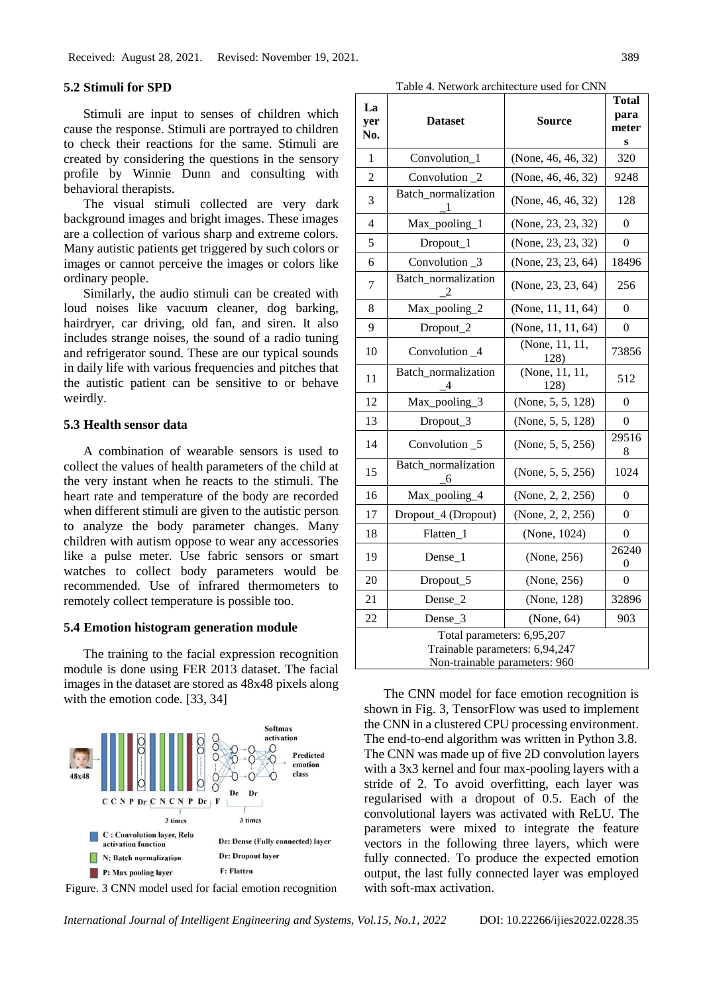Received: August 28, 2021. Revised: November 19, 2021. 389

### **5.2 Stimuli for SPD**

Stimuli are input to senses of children which cause the response. Stimuli are portrayed to children to check their reactions for the same. Stimuli are created by considering the questions in the sensory profile by Winnie Dunn and consulting with behavioral therapists.

The visual stimuli collected are very dark background images and bright images. These images are a collection of various sharp and extreme colors. Many autistic patients get triggered by such colors or images or cannot perceive the images or colors like ordinary people.

Similarly, the audio stimuli can be created with loud noises like vacuum cleaner, dog barking, hairdryer, car driving, old fan, and siren. It also includes strange noises, the sound of a radio tuning and refrigerator sound. These are our typical sounds in daily life with various frequencies and pitches that the autistic patient can be sensitive to or behave weirdly.

## **5.3 Health sensor data**

A combination of wearable sensors is used to collect the values of health parameters of the child at the very instant when he reacts to the stimuli. The heart rate and temperature of the body are recorded when different stimuli are given to the autistic person to analyze the body parameter changes. Many children with autism oppose to wear any accessories like a pulse meter. Use fabric sensors or smart watches to collect body parameters would be recommended. Use of infrared thermometers to remotely collect temperature is possible too.

### **5.4 Emotion histogram generation module**

The training to the facial expression recognition module is done using FER 2013 dataset. The facial images in the dataset are stored as 48x48 pixels along with the emotion code. [33, 34]





Table 4. Network architecture used for CNN

| La<br>yer<br>No.                                                                              | <b>Dataset</b>                                     | <b>Source</b>          | Total<br>para<br>meter<br>S |  |  |
|-----------------------------------------------------------------------------------------------|----------------------------------------------------|------------------------|-----------------------------|--|--|
| 1                                                                                             | Convolution 1                                      | (None, 46, 46, 32)     | 320                         |  |  |
| $\overline{2}$                                                                                | Convolution <sub>2</sub>                           | (None, 46, 46, 32)     | 9248                        |  |  |
| 3                                                                                             | Batch_normalization<br>1                           | (None, 46, 46, 32)     | 128                         |  |  |
| 4                                                                                             | Max_pooling_1                                      | (None, 23, 23, 32)     | 0                           |  |  |
| 5                                                                                             | Dropout_1                                          | (None, 23, 23, 32)     | 0                           |  |  |
| 6                                                                                             | Convolution <sub>_3</sub>                          | (None, $23, 23, 64$ )  | 18496                       |  |  |
| 7                                                                                             | Batch_normalization<br>$\mathfrak{D}$              | (None, 23, 23, 64)     | 256                         |  |  |
| 8                                                                                             | Max_pooling_2                                      | (None, $11, 11, 64$ )  | 0                           |  |  |
| 9                                                                                             | Dropout_2                                          | (None, $11, 11, 64$ )  | 0                           |  |  |
| 10                                                                                            | Convolution _4                                     | (None, 11, 11,<br>128) | 73856                       |  |  |
| 11                                                                                            | Batch_normalization<br>(None, 11, 11,<br>128)<br>4 |                        | 512                         |  |  |
| 12                                                                                            | Max_pooling_3                                      | (None, 5, 5, 128)      | 0                           |  |  |
| 13                                                                                            | Dropout_3                                          | (None, 5, 5, 128)      | 0                           |  |  |
| 14                                                                                            | Convolution _5                                     | (None, 5, 5, 256)      | 29516<br>8                  |  |  |
| 15                                                                                            | Batch_normalization<br>6                           | (None, 5, 5, 256)      | 1024                        |  |  |
| 16                                                                                            | Max_pooling_4                                      | (None, $2, 2, 256$ )   | 0                           |  |  |
| 17                                                                                            | Dropout_4 (Dropout)                                | (None, 2, 2, 256)      | 0                           |  |  |
| 18                                                                                            | Flatten_1                                          | (None, 1024)           | 0                           |  |  |
| 19                                                                                            | (None, 256)<br>Dense 1                             |                        | 26240<br>0                  |  |  |
| 20                                                                                            | Dropout_5                                          | (None, 256)            | 0                           |  |  |
| 21                                                                                            | Dense_2                                            | (None, 128)            | 32896                       |  |  |
| 22                                                                                            | Dense 3                                            | (None, 64)             | 903                         |  |  |
| Total parameters: 6,95,207<br>Trainable parameters: 6,94,247<br>Non-trainable parameters: 960 |                                                    |                        |                             |  |  |

The CNN model for face emotion recognition is shown in Fig. 3, TensorFlow was used to implement the CNN in a clustered CPU processing environment. The end-to-end algorithm was written in Python 3.8. The CNN was made up of five 2D convolution layers with a 3x3 kernel and four max-pooling layers with a stride of 2. To avoid overfitting, each layer was regularised with a dropout of 0.5. Each of the convolutional layers was activated with ReLU. The parameters were mixed to integrate the feature vectors in the following three layers, which were fully connected. To produce the expected emotion output, the last fully connected layer was employed with soft-max activation.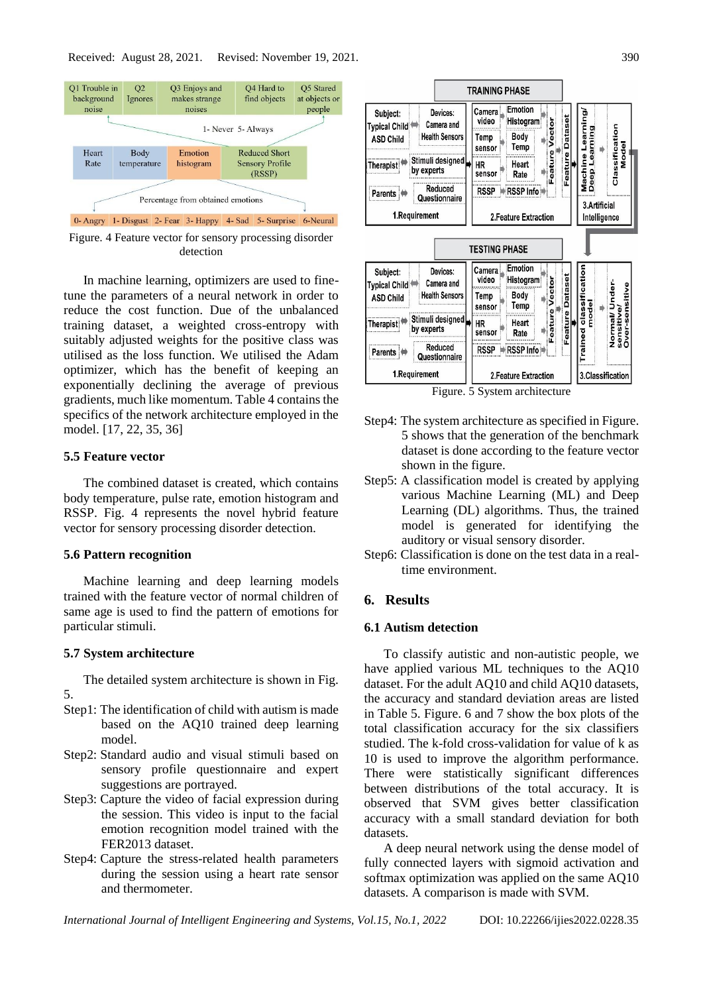

Figure. 4 Feature vector for sensory processing disorder detection

In machine learning, optimizers are used to finetune the parameters of a neural network in order to reduce the cost function. Due of the unbalanced training dataset, a weighted cross-entropy with suitably adjusted weights for the positive class was utilised as the loss function. We utilised the Adam optimizer, which has the benefit of keeping an exponentially declining the average of previous gradients, much like momentum. Table 4 contains the specifics of the network architecture employed in the model. [17, 22, 35, 36]

# **5.5 Feature vector**

The combined dataset is created, which contains body temperature, pulse rate, emotion histogram and RSSP. Fig. 4 represents the novel hybrid feature vector for sensory processing disorder detection.

#### **5.6 Pattern recognition**

Machine learning and deep learning models trained with the feature vector of normal children of same age is used to find the pattern of emotions for particular stimuli.

### **5.7 System architecture**

The detailed system architecture is shown in Fig. 5.

- Step1: The identification of child with autism is made based on the AQ10 trained deep learning model.
- Step2: Standard audio and visual stimuli based on sensory profile questionnaire and expert suggestions are portrayed.
- Step3: Capture the video of facial expression during the session. This video is input to the facial emotion recognition model trained with the FER2013 dataset.
- Step4: Capture the stress-related health parameters during the session using a heart rate sensor and thermometer.



Step4: The system architecture as specified in Figure. 5 shows that the generation of the benchmark dataset is done according to the feature vector

- shown in the figure. Step5: A classification model is created by applying various Machine Learning (ML) and Deep Learning (DL) algorithms. Thus, the trained model is generated for identifying the auditory or visual sensory disorder.
- Step6: Classification is done on the test data in a realtime environment.

## **6. Results**

# **6.1 Autism detection**

To classify autistic and non-autistic people, we have applied various ML techniques to the AQ10 dataset. For the adult AQ10 and child AQ10 datasets, the accuracy and standard deviation areas are listed in Table 5. Figure. 6 and 7 show the box plots of the total classification accuracy for the six classifiers studied. The k-fold cross-validation for value of k as 10 is used to improve the algorithm performance. There were statistically significant differences between distributions of the total accuracy. It is observed that SVM gives better classification accuracy with a small standard deviation for both datasets.

A deep neural network using the dense model of fully connected layers with sigmoid activation and softmax optimization was applied on the same AQ10 datasets. A comparison is made with SVM.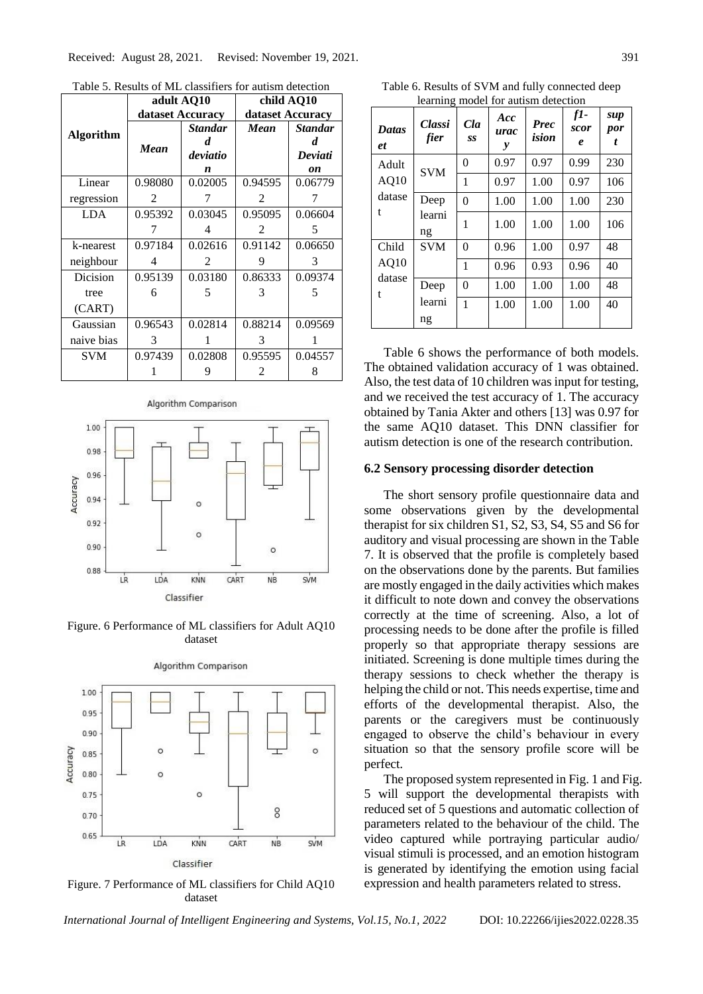Table 5. Results of ML classifiers for autism detection

|                 |               | adult AQ10       | child AQ10       |                |  |
|-----------------|---------------|------------------|------------------|----------------|--|
|                 |               | dataset Accuracy | dataset Accuracy |                |  |
| Algorithm       |               | <b>Standar</b>   | Mean             | <b>Standar</b> |  |
|                 | Mean          | d                |                  | d.             |  |
|                 |               | deviatio         |                  | Deviati        |  |
|                 |               | n                |                  | on             |  |
| Linear          | 0.98080       | 0.02005          | 0.94595          | 0.06779        |  |
| regression      | $\mathcal{L}$ |                  | $\mathfrak{D}$   |                |  |
| LDA.            | 0.95392       | 0.03045          | 0.95095          | 0.06604        |  |
|                 |               | 4                | $\mathfrak{D}$   | 5              |  |
| k-nearest       | 0.97184       | 0.02616          | 0.91142          | 0.06650        |  |
| neighbour       | 4             | $\mathfrak{D}$   | 9                | 3              |  |
| <b>Dicision</b> | 0.95139       | 0.03180          | 0.86333          | 0.09374        |  |
| tree            | 6             | 5                | 3                | 5              |  |
| (CART)          |               |                  |                  |                |  |
| Gaussian        | 0.96543       | 0.02814          | 0.88214          | 0.09569        |  |
| naive bias      | 3             |                  | 3                |                |  |
| <b>SVM</b>      | 0.97439       | 0.02808          | 0.95595          | 0.04557        |  |
|                 |               |                  | 2                | 8              |  |



Figure. 6 Performance of ML classifiers for Adult AQ10 dataset



Algorithm Comparison

Figure. 7 Performance of ML classifiers for Child AQ10 dataset

Table 6. Results of SVM and fully connected deep learning model for autism detection

| <b>Datas</b><br>et | <b>Classi</b><br>fier | Cla<br>SS | Acc<br>urac<br>y | <b>Prec</b><br>ision | $f1-$<br>scor<br>e | sup<br>por<br>t |
|--------------------|-----------------------|-----------|------------------|----------------------|--------------------|-----------------|
| Adult              | <b>SVM</b>            | 0         | 0.97             | 0.97                 | 0.99               | 230             |
| AQ10               |                       | 1         | 0.97             | 1.00                 | 0.97               | 106             |
| datase             | Deep                  | $\Omega$  | 1.00             | 1.00                 | 1.00               | 230             |
| t                  | learni<br>ng          | 1         | 1.00             | 1.00                 | 1.00               | 106             |
| Child              | <b>SVM</b>            | $\Omega$  | 0.96             | 1.00                 | 0.97               | 48              |
| AQ10               |                       | 1         | 0.96             | 0.93                 | 0.96               | 40              |
| datase<br>t        | Deep                  | $\theta$  | 1.00             | 1.00                 | 1.00               | 48              |
|                    | learni<br>ng          | 1         | 1.00             | 1.00                 | 1.00               | 40              |

Table 6 shows the performance of both models. The obtained validation accuracy of 1 was obtained. Also, the test data of 10 children was input for testing, and we received the test accuracy of 1. The accuracy obtained by Tania Akter and others [13] was 0.97 for the same AQ10 dataset. This DNN classifier for autism detection is one of the research contribution.

#### **6.2 Sensory processing disorder detection**

The short sensory profile questionnaire data and some observations given by the developmental therapist for six children S1, S2, S3, S4, S5 and S6 for auditory and visual processing are shown in the Table 7. It is observed that the profile is completely based on the observations done by the parents. But families are mostly engaged in the daily activities which makes it difficult to note down and convey the observations correctly at the time of screening. Also, a lot of processing needs to be done after the profile is filled properly so that appropriate therapy sessions are initiated. Screening is done multiple times during the therapy sessions to check whether the therapy is helping the child or not. This needs expertise, time and efforts of the developmental therapist. Also, the parents or the caregivers must be continuously engaged to observe the child's behaviour in every situation so that the sensory profile score will be perfect.

The proposed system represented in Fig. 1 and Fig. 5 will support the developmental therapists with reduced set of 5 questions and automatic collection of parameters related to the behaviour of the child. The video captured while portraying particular audio/ visual stimuli is processed, and an emotion histogram is generated by identifying the emotion using facial expression and health parameters related to stress.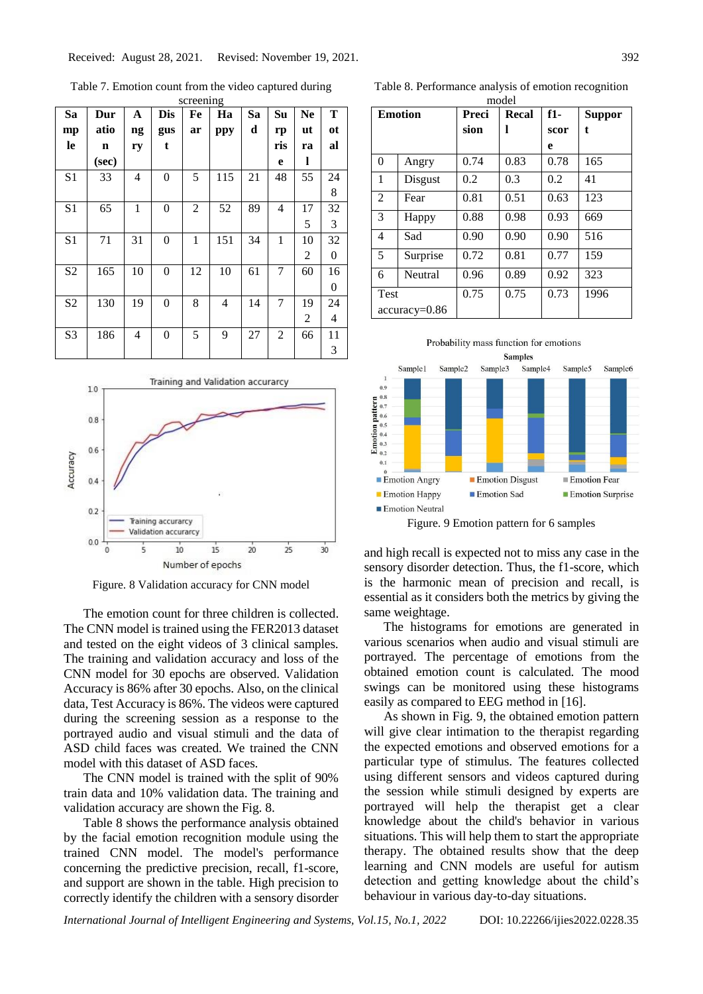Table 7. Emotion count from the video captured during

| screening      |             |    |                |                |                |    |                |                |    |
|----------------|-------------|----|----------------|----------------|----------------|----|----------------|----------------|----|
| Sa             | Dur         | A  | <b>Dis</b>     | Fe             | Ha             | Sa | Su             | <b>Ne</b>      | Т  |
| mp             | atio        | ng | gus            | ar             | ppy            | d  | rp             | ut             | ot |
| le             | $\mathbf n$ | ry | $\mathbf{t}$   |                |                |    | ris            | ra             | al |
|                | (sec)       |    |                |                |                |    | e              | 1              |    |
| S <sub>1</sub> | 33          | 4  | $\overline{0}$ | 5              | 115            | 21 | 48             | 55             | 24 |
|                |             |    |                |                |                |    |                |                | 8  |
| S <sub>1</sub> | 65          | 1  | $\theta$       | $\overline{2}$ | 52             | 89 | 4              | 17             | 32 |
|                |             |    |                |                |                |    |                | 5              | 3  |
| S <sub>1</sub> | 71          | 31 | $\overline{0}$ | 1              | 151            | 34 | $\mathbf{1}$   | 10             | 32 |
|                |             |    |                |                |                |    |                | 2              | 0  |
| S <sub>2</sub> | 165         | 10 | 0              | 12             | 10             | 61 | 7              | 60             | 16 |
|                |             |    |                |                |                |    |                |                | 0  |
| S <sub>2</sub> | 130         | 19 | $\overline{0}$ | 8              | $\overline{4}$ | 14 | 7              | 19             | 24 |
|                |             |    |                |                |                |    |                | $\overline{2}$ | 4  |
| S <sub>3</sub> | 186         | 4  | $\theta$       | 5              | 9              | 27 | $\overline{2}$ | 66             | 11 |
|                |             |    |                |                |                |    |                |                | 3  |



Figure. 8 Validation accuracy for CNN model

The emotion count for three children is collected. The CNN model is trained using the FER2013 dataset and tested on the eight videos of 3 clinical samples. The training and validation accuracy and loss of the CNN model for 30 epochs are observed. Validation Accuracy is 86% after 30 epochs. Also, on the clinical data, Test Accuracy is 86%. The videos were captured during the screening session as a response to the portrayed audio and visual stimuli and the data of ASD child faces was created. We trained the CNN model with this dataset of ASD faces.

The CNN model is trained with the split of 90% train data and 10% validation data. The training and validation accuracy are shown the Fig. 8.

Table 8 shows the performance analysis obtained by the facial emotion recognition module using the trained CNN model. The model's performance concerning the predictive precision, recall, f1-score, and support are shown in the table. High precision to correctly identify the children with a sensory disorder

Table 8. Performance analysis of emotion recognition

|                | model           |                |      |       |               |  |
|----------------|-----------------|----------------|------|-------|---------------|--|
| <b>Emotion</b> |                 | Preci<br>Recal |      | $f1-$ | <b>Suppor</b> |  |
|                |                 | sion           | ı    | scor  | t             |  |
|                |                 |                |      | e     |               |  |
| $\theta$       | Angry           | 0.74           | 0.83 | 0.78  | 165           |  |
| 1              | Disgust         | 0.2            | 0.3  | 0.2   | 41            |  |
| $\mathfrak{D}$ | Fear            | 0.81           | 0.51 | 0.63  | 123           |  |
| 3              | Happy           | 0.88           | 0.98 | 0.93  | 669           |  |
| $\overline{4}$ | Sad             | 0.90           | 0.90 | 0.90  | 516           |  |
| 5              | Surprise        | 0.72           | 0.81 | 0.77  | 159           |  |
| 6              | Neutral         | 0.96           | 0.89 | 0.92  | 323           |  |
| <b>Test</b>    |                 | 0.75           | 0.75 | 0.73  | 1996          |  |
|                | $accuracy=0.86$ |                |      |       |               |  |



Figure. 9 Emotion pattern for 6 samples

and high recall is expected not to miss any case in the sensory disorder detection. Thus, the f1-score, which is the harmonic mean of precision and recall, is essential as it considers both the metrics by giving the same weightage.

The histograms for emotions are generated in various scenarios when audio and visual stimuli are portrayed. The percentage of emotions from the obtained emotion count is calculated. The mood swings can be monitored using these histograms easily as compared to EEG method in [16].

As shown in Fig. 9, the obtained emotion pattern will give clear intimation to the therapist regarding the expected emotions and observed emotions for a particular type of stimulus. The features collected using different sensors and videos captured during the session while stimuli designed by experts are portrayed will help the therapist get a clear knowledge about the child's behavior in various situations. This will help them to start the appropriate therapy. The obtained results show that the deep learning and CNN models are useful for autism detection and getting knowledge about the child's behaviour in various day-to-day situations.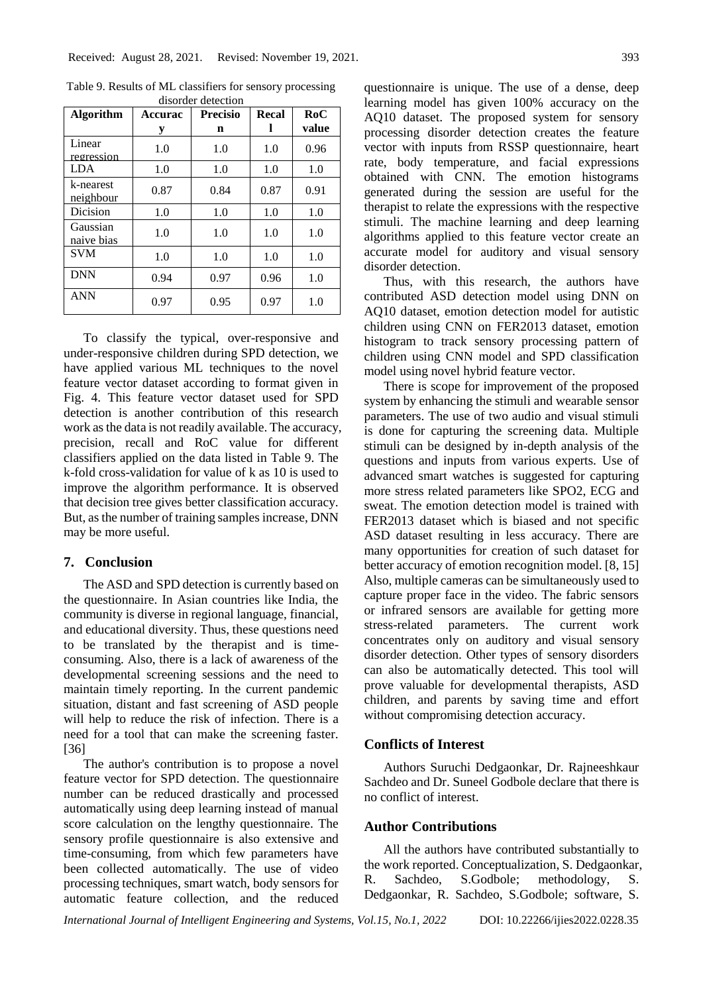| <b>Algorithm</b>       | <b>Accurac</b> | <b>Precisio</b> | Recal | RoC   |
|------------------------|----------------|-----------------|-------|-------|
|                        | у              | n               | l     | value |
| Linear<br>regression   | 1.0            | 1.0             | 1.0   | 0.96  |
| <b>LDA</b>             | 1.0            | 1.0             | 1.0   | 1.0   |
| k-nearest<br>neighbour | 0.87           | 0.84            | 0.87  | 0.91  |
| Dicision               | 1.0            | 1.0             | 1.0   | 1.0   |
| Gaussian<br>naive bias | 1.0            | 1.0             | 1.0   | 1.0   |
| <b>SVM</b>             | 1.0            | 1.0             | 1.0   | 1.0   |
| <b>DNN</b>             | 0.94           | 0.97            | 0.96  | 1.0   |
| <b>ANN</b>             | 0.97           | 0.95            | 0.97  | 1.0   |

Table 9. Results of ML classifiers for sensory processing disorder detection

To classify the typical, over-responsive and under-responsive children during SPD detection, we have applied various ML techniques to the novel feature vector dataset according to format given in Fig. 4. This feature vector dataset used for SPD detection is another contribution of this research work as the data is not readily available. The accuracy, precision, recall and RoC value for different classifiers applied on the data listed in Table 9. The k-fold cross-validation for value of k as 10 is used to improve the algorithm performance. It is observed that decision tree gives better classification accuracy. But, as the number of training samples increase, DNN may be more useful.

# **7. Conclusion**

The ASD and SPD detection is currently based on the questionnaire. In Asian countries like India, the community is diverse in regional language, financial, and educational diversity. Thus, these questions need to be translated by the therapist and is timeconsuming. Also, there is a lack of awareness of the developmental screening sessions and the need to maintain timely reporting. In the current pandemic situation, distant and fast screening of ASD people will help to reduce the risk of infection. There is a need for a tool that can make the screening faster. [36]

The author's contribution is to propose a novel feature vector for SPD detection. The questionnaire number can be reduced drastically and processed automatically using deep learning instead of manual score calculation on the lengthy questionnaire. The sensory profile questionnaire is also extensive and time-consuming, from which few parameters have been collected automatically. The use of video processing techniques, smart watch, body sensors for automatic feature collection, and the reduced questionnaire is unique. The use of a dense, deep learning model has given 100% accuracy on the AQ10 dataset. The proposed system for sensory processing disorder detection creates the feature vector with inputs from RSSP questionnaire, heart rate, body temperature, and facial expressions obtained with CNN. The emotion histograms generated during the session are useful for the therapist to relate the expressions with the respective stimuli. The machine learning and deep learning algorithms applied to this feature vector create an accurate model for auditory and visual sensory disorder detection.

Thus, with this research, the authors have contributed ASD detection model using DNN on AQ10 dataset, emotion detection model for autistic children using CNN on FER2013 dataset, emotion histogram to track sensory processing pattern of children using CNN model and SPD classification model using novel hybrid feature vector.

There is scope for improvement of the proposed system by enhancing the stimuli and wearable sensor parameters. The use of two audio and visual stimuli is done for capturing the screening data. Multiple stimuli can be designed by in-depth analysis of the questions and inputs from various experts. Use of advanced smart watches is suggested for capturing more stress related parameters like SPO2, ECG and sweat. The emotion detection model is trained with FER2013 dataset which is biased and not specific ASD dataset resulting in less accuracy. There are many opportunities for creation of such dataset for better accuracy of emotion recognition model. [8, 15] Also, multiple cameras can be simultaneously used to capture proper face in the video. The fabric sensors or infrared sensors are available for getting more stress-related parameters. The current work concentrates only on auditory and visual sensory disorder detection. Other types of sensory disorders can also be automatically detected. This tool will prove valuable for developmental therapists, ASD children, and parents by saving time and effort without compromising detection accuracy.

## **Conflicts of Interest**

Authors Suruchi Dedgaonkar, Dr. Rajneeshkaur Sachdeo and Dr. Suneel Godbole declare that there is no conflict of interest.

# **Author Contributions**

All the authors have contributed substantially to the work reported. Conceptualization, S. Dedgaonkar, R. Sachdeo, S.Godbole; methodology, S. Dedgaonkar, R. Sachdeo, S.Godbole; software, S.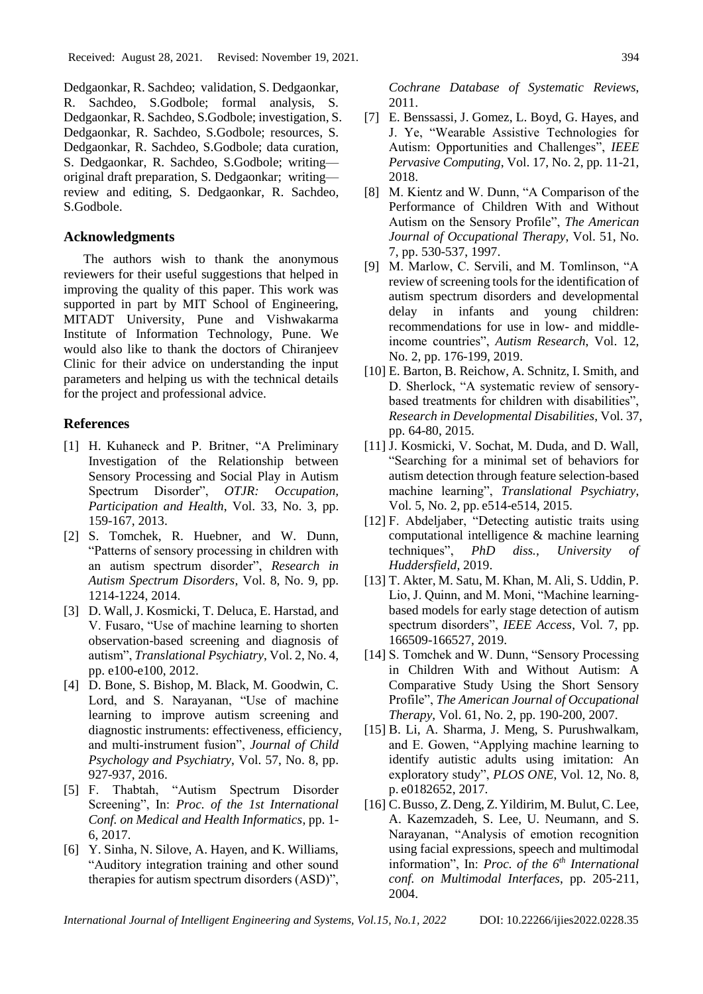Dedgaonkar, R. Sachdeo; validation, S. Dedgaonkar, R. Sachdeo, S.Godbole; formal analysis, S. Dedgaonkar, R. Sachdeo, S.Godbole; investigation, S. Dedgaonkar, R. Sachdeo, S.Godbole; resources, S. Dedgaonkar, R. Sachdeo, S.Godbole; data curation, S. Dedgaonkar, R. Sachdeo, S.Godbole; writing original draft preparation, S. Dedgaonkar; writing review and editing, S. Dedgaonkar, R. Sachdeo, S.Godbole.

# **Acknowledgments**

The authors wish to thank the anonymous reviewers for their useful suggestions that helped in improving the quality of this paper. This work was supported in part by MIT School of Engineering, MITADT University, Pune and Vishwakarma Institute of Information Technology, Pune. We would also like to thank the doctors of Chiranjeev Clinic for their advice on understanding the input parameters and helping us with the technical details for the project and professional advice.

# **References**

- [1] H. Kuhaneck and P. Britner, "A Preliminary Investigation of the Relationship between Sensory Processing and Social Play in Autism Spectrum Disorder", *OTJR: Occupation, Participation and Health*, Vol. 33, No. 3, pp. 159-167, 2013.
- [2] S. Tomchek, R. Huebner, and W. Dunn, "Patterns of sensory processing in children with an autism spectrum disorder", *Research in Autism Spectrum Disorders*, Vol. 8, No. 9, pp. 1214-1224, 2014.
- [3] D. Wall, J. Kosmicki, T. Deluca, E. Harstad, and V. Fusaro, "Use of machine learning to shorten observation-based screening and diagnosis of autism", *Translational Psychiatry*, Vol. 2, No. 4, pp. e100-e100, 2012.
- [4] D. Bone, S. Bishop, M. Black, M. Goodwin, C. Lord, and S. Narayanan, "Use of machine learning to improve autism screening and diagnostic instruments: effectiveness, efficiency, and multi‐instrument fusion", *Journal of Child Psychology and Psychiatry*, Vol. 57, No. 8, pp. 927-937, 2016.
- [5] F. Thabtah, "Autism Spectrum Disorder Screening", In: *Proc. of the 1st International Conf. on Medical and Health Informatics*, pp. 1- 6, 2017.
- [6] Y. Sinha, N. Silove, A. Hayen, and K. Williams, "Auditory integration training and other sound therapies for autism spectrum disorders (ASD)",

*Cochrane Database of Systematic Reviews*, 2011.

- [7] E. Benssassi, J. Gomez, L. Boyd, G. Hayes, and J. Ye, "Wearable Assistive Technologies for Autism: Opportunities and Challenges", *IEEE Pervasive Computing*, Vol. 17, No. 2, pp. 11-21, 2018.
- [8] M. Kientz and W. Dunn, "A Comparison of the Performance of Children With and Without Autism on the Sensory Profile", *The American Journal of Occupational Therapy*, Vol. 51, No. 7, pp. 530-537, 1997.
- [9] M. Marlow, C. Servili, and M. Tomlinson, "A review of screening tools for the identification of autism spectrum disorders and developmental delay in infants and young children: recommendations for use in low- and middleincome countries", *Autism Research*, Vol. 12, No. 2, pp. 176-199, 2019.
- [10] E. Barton, B. Reichow, A. Schnitz, I. Smith, and D. Sherlock, "A systematic review of sensorybased treatments for children with disabilities", *Research in Developmental Disabilities*, Vol. 37, pp. 64-80, 2015.
- [11] J. Kosmicki, V. Sochat, M. Duda, and D. Wall, "Searching for a minimal set of behaviors for autism detection through feature selection-based machine learning", *Translational Psychiatry*, Vol. 5, No. 2, pp. e514-e514, 2015.
- [12] F. Abdeljaber, "Detecting autistic traits using computational intelligence & machine learning techniques", *PhD diss., University of Huddersfield*, 2019.
- [13] T. Akter, M. Satu, M. Khan, M. Ali, S. Uddin, P. Lio, J. Quinn, and M. Moni, "Machine learningbased models for early stage detection of autism spectrum disorders", *IEEE Access*, Vol. 7, pp. 166509-166527, 2019.
- [14] S. Tomchek and W. Dunn, "Sensory Processing in Children With and Without Autism: A Comparative Study Using the Short Sensory Profile", *The American Journal of Occupational Therapy*, Vol. 61, No. 2, pp. 190-200, 2007.
- [15] B. Li, A. Sharma, J. Meng, S. Purushwalkam, and E. Gowen, "Applying machine learning to identify autistic adults using imitation: An exploratory study", *PLOS ONE*, Vol. 12, No. 8, p. e0182652, 2017.
- [16] C.Busso, Z.Deng, Z.Yildirim, M. Bulut, C. Lee, A. Kazemzadeh, S. Lee, U. Neumann, and S. Narayanan, "Analysis of emotion recognition using facial expressions, speech and multimodal information", In: *Proc. of the 6th International conf. on Multimodal Interfaces*, pp. 205-211, 2004.